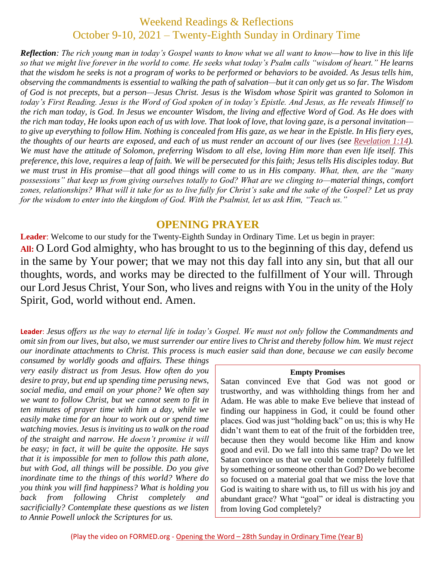# Weekend Readings & Reflections October 9-10, 2021 – Twenty-Eighth Sunday in Ordinary Time

*Reflection: The rich young man in today's Gospel wants to know what we all want to know—how to live in this life so that we might live forever in the world to come. He seeks what today's Psalm calls "wisdom of heart." He learns that the wisdom he seeks is not a program of works to be performed or behaviors to be avoided. As Jesus tells him, observing the commandments is essential to walking the path of salvation—but it can only get us so far. The Wisdom of God is not precepts, but a person—Jesus Christ. Jesus is the Wisdom whose Spirit was granted to Solomon in today's First Reading. Jesus is the Word of God spoken of in today's Epistle. And Jesus, as He reveals Himself to the rich man today, is God. In Jesus we encounter Wisdom, the living and effective Word of God. As He does with the rich man today, He looks upon each of us with love. That look of love, that loving gaze, is a personal invitation to give up everything to follow Him. Nothing is concealed from His gaze, as we hear in the Epistle. In His fiery eyes, the thoughts of our hearts are exposed, and each of us must render an account of our lives (see [Revelation](https://biblia.com/bible/rsvce/Rev%201.14) 1:14). We must have the attitude of Solomon, preferring Wisdom to all else, loving Him more than even life itself. This preference, this love, requires a leap of faith. We will be persecuted for this faith; Jesus tells His disciples today. But we must trust in His promise—that all good things will come to us in His company. What, then, are the "many possessions" that keep us from giving ourselves totally to God? What are we clinging to—material things, comfort zones, relationships? What will it take for us to live fully for Christ's sake and the sake of the Gospel? Let us pray for the wisdom to enter into the kingdom of God. With the Psalmist, let us ask Him, "Teach us."*

## **OPENING PRAYER**

**Leader**: Welcome to our study for the Twenty-Eighth Sunday in Ordinary Time. Let us begin in prayer: **All:** O Lord God almighty, who has brought to us to the beginning of this day, defend us in the same by Your power; that we may not this day fall into any sin, but that all our thoughts, words, and works may be directed to the fulfillment of Your will. Through our Lord Jesus Christ, Your Son, who lives and reigns with You in the unity of the Holy Spirit, God, world without end. Amen.

**Leader**: *Jesus offers us the way to eternal life in today's Gospel. We must not only follow the Commandments and omit sin from our lives, but also, we must surrender our entire lives to Christ and thereby follow him. We must reject our inordinate attachments to Christ. This process is much easier said than done, because we can easily become* 

*consumed by worldly goods and affairs. These things very easily distract us from Jesus. How often do you desire to pray, but end up spending time perusing news, social media, and email on your phone? We often say we want to follow Christ, but we cannot seem to fit in ten minutes of prayer time with him a day, while we easily make time for an hour to work out or spend time watching movies. Jesus is inviting us to walk on the road of the straight and narrow. He doesn't promise it will be easy; in fact, it will be quite the opposite. He says that it is impossible for men to follow this path alone, but with God, all things will be possible. Do you give inordinate time to the things of this world? Where do you think you will find happiness? What is holding you back from following Christ completely and sacrificially? Contemplate these questions as we listen to Annie Powell unlock the Scriptures for us.*

#### **Empty Promises**

Satan convinced Eve that God was not good or trustworthy, and was withholding things from her and Adam. He was able to make Eve believe that instead of finding our happiness in God, it could be found other places. God was just "holding back" on us; this is why He didn't want them to eat of the fruit of the forbidden tree, because then they would become like Him and know good and evil. Do we fall into this same trap? Do we let Satan convince us that we could be completely fulfilled by something or someone other than God? Do we become so focused on a material goal that we miss the love that God is waiting to share with us, to fill us with his joy and abundant grace? What "goal" or ideal is distracting you from loving God completely?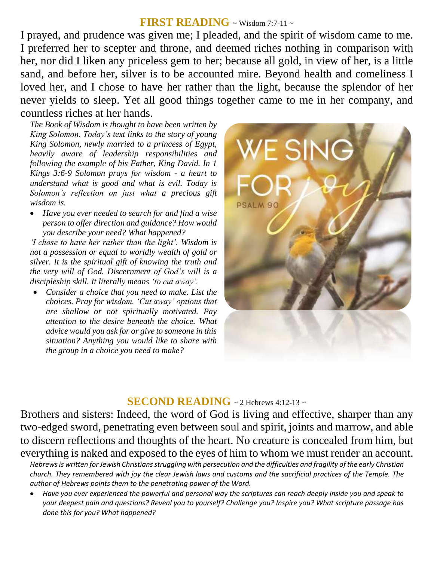## **FIRST READING** ~ Wisdom 7:7-11 ~

I prayed, and prudence was given me; I pleaded, and the spirit of wisdom came to me. I preferred her to scepter and throne, and deemed riches nothing in comparison with her, nor did I liken any priceless gem to her; because all gold, in view of her, is a little sand, and before her, silver is to be accounted mire. Beyond health and comeliness I loved her, and I chose to have her rather than the light, because the splendor of her never yields to sleep. Yet all good things together came to me in her company, and countless riches at her hands.

*The Book of Wisdom is thought to have been written by King Solomon. Today's text links to the story of young King Solomon, newly married to a princess of Egypt, heavily aware of leadership responsibilities and following the example of his Father, King David. In 1 Kings 3:6-9 Solomon prays for wisdom - a heart to understand what is good and what is evil. Today is Solomon's reflection on just what a precious gift wisdom is.* 

 *Have you ever needed to search for and find a wise person to offer direction and guidance? How would you describe your need? What happened?*

*'I chose to have her rather than the light'. Wisdom is not a possession or equal to worldly wealth of gold or silver. It is the spiritual gift of knowing the truth and the very will of God. Discernment of God's will is a discipleship skill. It literally means 'to cut away'.* 

 *Consider a choice that you need to make. List the choices. Pray for wisdom. 'Cut away' options that are shallow or not spiritually motivated. Pay attention to the desire beneath the choice. What advice would you ask for or give to someone in this situation? Anything you would like to share with the group in a choice you need to make?*



### **SECOND READING**  $\sim$  2 Hebrews 4:12-13  $\sim$

Brothers and sisters: Indeed, the word of God is living and effective, sharper than any two-edged sword, penetrating even between soul and spirit, joints and marrow, and able to discern reflections and thoughts of the heart. No creature is concealed from him, but everything is naked and exposed to the eyes of him to whom we must render an account.

*Hebrews is written for Jewish Christiansstruggling with persecution and the difficulties and fragility of the early Christian church. They remembered with joy the clear Jewish laws and customs and the sacrificial practices of the Temple. The author of Hebrews points them to the penetrating power of the Word.*

 *Have you ever experienced the powerful and personal way the scriptures can reach deeply inside you and speak to your deepest pain and questions? Reveal you to yourself? Challenge you? Inspire you? What scripture passage has done this for you? What happened?*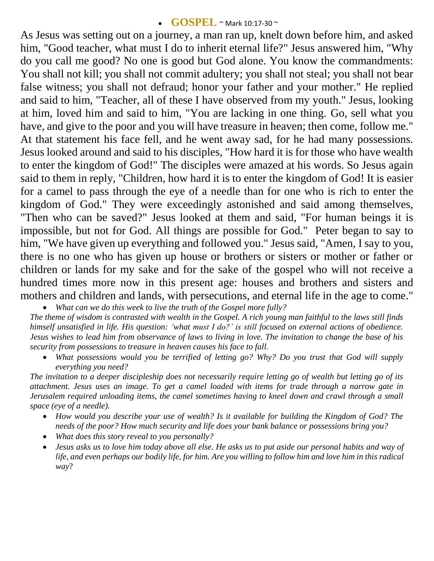#### **GOSPEL** ~ Mark 10:17-30 <sup>~</sup>

As Jesus was setting out on a journey, a man ran up, knelt down before him, and asked him, "Good teacher, what must I do to inherit eternal life?" Jesus answered him, "Why do you call me good? No one is good but God alone. You know the commandments: You shall not kill; you shall not commit adultery; you shall not steal; you shall not bear false witness; you shall not defraud; honor your father and your mother." He replied and said to him, "Teacher, all of these I have observed from my youth." Jesus, looking at him, loved him and said to him, "You are lacking in one thing. Go, sell what you have, and give to the poor and you will have treasure in heaven; then come, follow me." At that statement his face fell, and he went away sad, for he had many possessions. Jesus looked around and said to his disciples, "How hard it is for those who have wealth to enter the kingdom of God!" The disciples were amazed at his words. So Jesus again said to them in reply, "Children, how hard it is to enter the kingdom of God! It is easier for a camel to pass through the eye of a needle than for one who is rich to enter the kingdom of God." They were exceedingly astonished and said among themselves, "Then who can be saved?" Jesus looked at them and said, "For human beings it is impossible, but not for God. All things are possible for God." Peter began to say to him, "We have given up everything and followed you." Jesus said, "Amen, I say to you, there is no one who has given up house or brothers or sisters or mother or father or children or lands for my sake and for the sake of the gospel who will not receive a hundred times more now in this present age: houses and brothers and sisters and mothers and children and lands, with persecutions, and eternal life in the age to come."

*What can we do this week to live the truth of the Gospel more fully?*

*The theme of wisdom is contrasted with wealth in the Gospel. A rich young man faithful to the laws still finds himself unsatisfied in life. His question: 'what must I do?' is still focused on external actions of obedience. Jesus wishes to lead him from observance of laws to living in love. The invitation to change the base of his security from possessions to treasure in heaven causes his face to fall.* 

 *What possessions would you be terrified of letting go? Why? Do you trust that God will supply everything you need?*

*The invitation to a deeper discipleship does not necessarily require letting go of wealth but letting go of its attachment. Jesus uses an image. To get a camel loaded with items for trade through a narrow gate in Jerusalem required unloading items, the camel sometimes having to kneel down and crawl through a small space (eye of a needle).* 

- *How would you describe your use of wealth? Is it available for building the Kingdom of God? The needs of the poor? How much security and life does your bank balance or possessions bring you?*
- *What does this story reveal to you personally?*
- *Jesus asks us to love him today above all else. He asks us to put aside our personal habits and way of life, and even perhaps our bodily life, for him. Are you willing to follow him and love him in this radical way*?